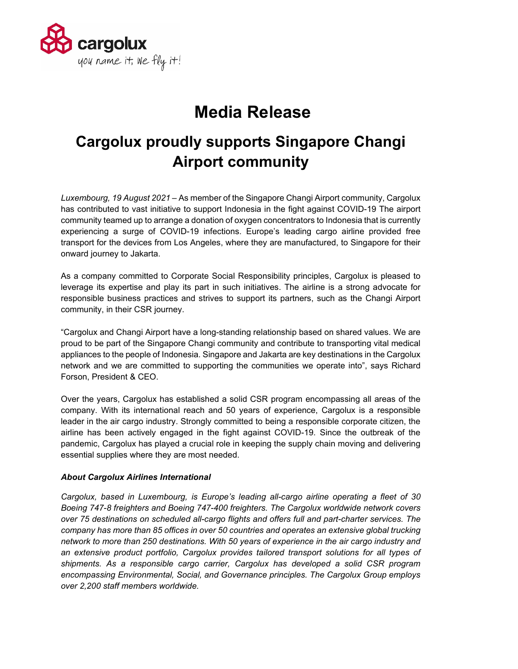

## **Media Release**

## **Cargolux proudly supports Singapore Changi Airport community**

*Luxembourg, 19 August 2021* – As member of the Singapore Changi Airport community, Cargolux has contributed to vast initiative to support Indonesia in the fight against COVID-19 The airport community teamed up to arrange a donation of oxygen concentrators to Indonesia that is currently experiencing a surge of COVID-19 infections. Europe's leading cargo airline provided free transport for the devices from Los Angeles, where they are manufactured, to Singapore for their onward journey to Jakarta.

As a company committed to Corporate Social Responsibility principles, Cargolux is pleased to leverage its expertise and play its part in such initiatives. The airline is a strong advocate for responsible business practices and strives to support its partners, such as the Changi Airport community, in their CSR journey.

"Cargolux and Changi Airport have a long-standing relationship based on shared values. We are proud to be part of the Singapore Changi community and contribute to transporting vital medical appliances to the people of Indonesia. Singapore and Jakarta are key destinations in the Cargolux network and we are committed to supporting the communities we operate into", says Richard Forson, President & CEO.

Over the years, Cargolux has established a solid CSR program encompassing all areas of the company. With its international reach and 50 years of experience, Cargolux is a responsible leader in the air cargo industry. Strongly committed to being a responsible corporate citizen, the airline has been actively engaged in the fight against COVID-19. Since the outbreak of the pandemic, Cargolux has played a crucial role in keeping the supply chain moving and delivering essential supplies where they are most needed.

## *About Cargolux Airlines International*

*Cargolux, based in Luxembourg, is Europe's leading all-cargo airline operating a fleet of 30 Boeing 747-8 freighters and Boeing 747-400 freighters. The Cargolux worldwide network covers over 75 destinations on scheduled all-cargo flights and offers full and part-charter services. The company has more than 85 offices in over 50 countries and operates an extensive global trucking network to more than 250 destinations. With 50 years of experience in the air cargo industry and an extensive product portfolio, Cargolux provides tailored transport solutions for all types of shipments. As a responsible cargo carrier, Cargolux has developed a solid CSR program encompassing Environmental, Social, and Governance principles. The Cargolux Group employs over 2,200 staff members worldwide.*